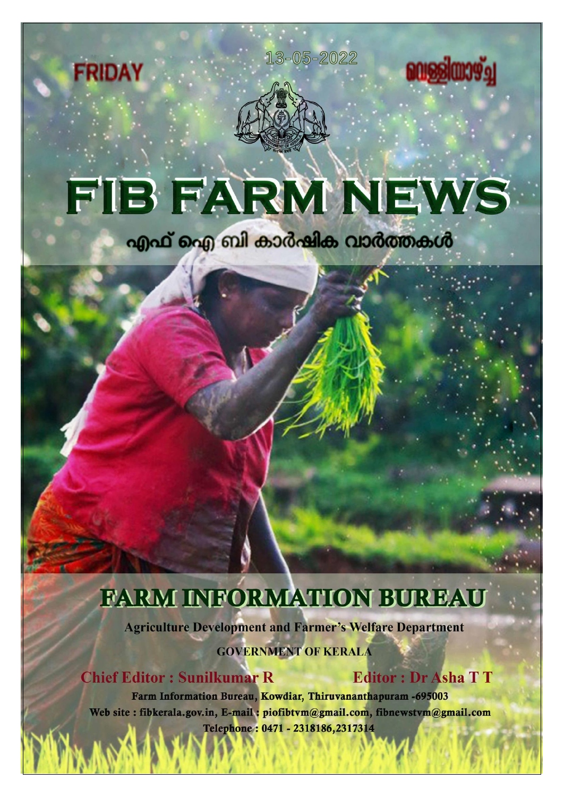



**FRIDAY** 

# FIB FARM NEWS

എഫ് ഐ ബി കാർഷിക വാർത്തകൾ

## FARM INFORMATION BUREAU

**Agriculture Development and Farmer's Welfare Department** 

**GOVERNMENT OF KERALA** 

**Chief Editor: Sunilkumar R** 

**Editor: Dr Asha TT** 

**consignation** 

Farm Information Bureau, Kowdiar, Thiruvananthapuram -695003 Web site: fibkerala.gov.in, E-mail: piofibtvm@gmail.com, fibnewstvm@gmail.com Telephone: 0471 - 2318186,2317314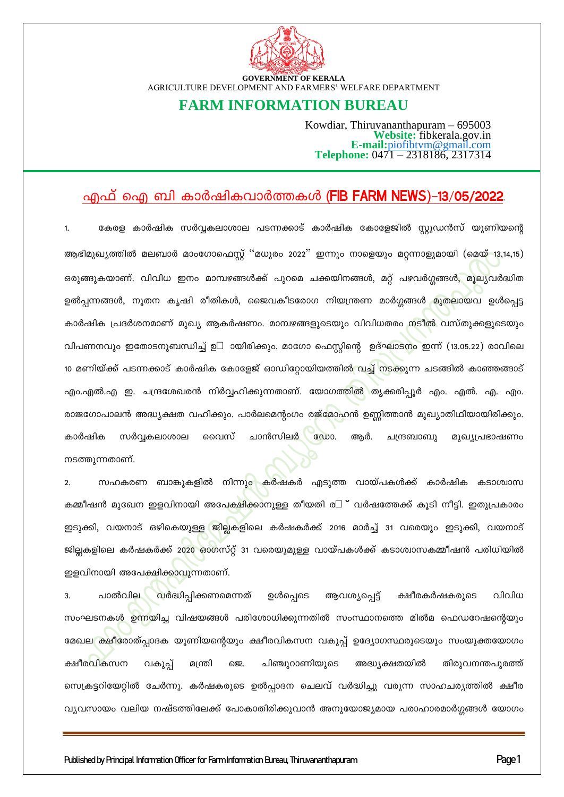

#### **FARM INFORMATION BUREAU**

Kowdiar, Thiruvananthapuram – 695003 Website: fibkerala.gov.in<br>Website: fibkerala.gov.in<br>E-mail:piofibtym@gmail.com<br>Telephone: 0471 – 2318186, 2317314

#### എഫ് ഐ ബി കാർഷികവാർത്തകൾ (FIB FARM NEWS)–13/05/2022.

കേരള കാർഷിക സർവ്വകലാശാല പടന്നക്കാട് കാർഷിക കോളേജിൽ സ്റ്റുഡൻസ് യൂണിയന്റെ ആഭിമുഖ്യത്തിൽ മലബാർ മാംഗോഫെസ്റ്റ് ''മധുരം 2022'' ഇന്നും നാളെയും മറ്റന്നാളുമായി (മെയ് 13,14,15) ഒരുങ്ങുകയാണ്. വിവിധ ഇനം മാമ്പഴങ്ങൾക്ക് പുറമെ ചക്കയിനങ്ങൾ, മറ്റ് പഴവർഗ്ഗങ്ങൾ, മൂല്യവർദ്ധിത ഉൽപ്പന്നങ്ങൾ, നൂതന കൃഷി രീതികൾ, ജൈവകീടരോഗ നിയന്ത്രണ മാർഗ്ഗങ്ങൾ മുതലായവ ഉൾപ്പെട്ട കാർഷിക പ്രദർശനമാണ് മുഖ്യ ആകർഷണം. മാമ്പഴങ്ങളുടെയും വിവിധതരം നടീൽ വസ്തുക്കളുടെയും വിപണനവും ഇതോടനുബന്ധിച്ച് ഉ- ായിരിക്കും. മാഗോ ഫെസ്റ്റിന്റെ ഉദ്ഘാടനം ഇന്ന് (13.05.22) രാവിലെ 10 മണിയ്ക്ക് പടന്നക്കാട് കാർഷിക കോളേജ് ഓഡിറ്റോയിയത്തിൽ വച്ച് നടക്കുന്ന ചടങ്ങിൽ കാഞ്ഞങ്ങാട് എം.എൽ.എ ഇ. ചന്ദ്രശേഖരൻ നിർവ്വഹിക്കുന്നതാണ്. യോഗത്തിൽ തൃക്കരിപ്പൂർ എം. എൽ. എ. എം. രാജഗോപാലൻ അദ്ധ്യക്ഷത വഹിക്കും. പാർലമെന്റംഗം രജ്മോഹൻ ഉണ്ണിത്താൻ മുഖ്യാതിഥിയായിരിക്കും. സർവ്വകലാശാല ചാൻസിലർ  $@Q$   $Q$ കാർഷിക വൈസ് ആർ. ചന്ദ്രബാബു മുഖ്യപ്രഭാഷണം നടത്തുന്നതാണ്.

സഹകരണ ബാങ്കുകളിൽ നിന്നു<mark>ം</mark> കർഷകർ എടുത്ത വായ്പകൾക്ക് കാർഷിക കടാശ്വാസ കമ്മീഷൻ മുഖേന ഇളവിനായി അപേക്ഷിക്കാനുള്ള തീയതി ര- ് വർഷത്തേക്ക് കൂടി നീട്ടി. ഇതുപ്രകാരം ഇടുക്കി, വയനാട് ഒഴികെയുള്ള ജില്ലകളിലെ കർഷകർക്ക് 2016 മാർച്ച് 31 വരെയും ഇടുക്കി, വയനാട് ജില്ലകളിലെ കർഷകർക്ക് 2020 ഓഗസ്റ്റ് 31 വരെയുമുള്ള വായ്പകൾക്ക് കടാശ്വാസകമ്മീഷൻ പരിധിയിൽ ഇളവിനായി അപേക്ഷിക്കാവുന്നതാണ്.

 $\mathbf{R}$ പാൽവില വർദ്ധിപ്പിക്കണമെന്നത് ഉൾപ്പെടെ ആവശ്യപ്പെട്ട് ക്ഷീരകർഷകരുടെ വിവിധ സംഘടനകൾ ഉന്നയിച്ച വിഷയങ്ങൾ പരിശോധിക്കുന്നതിൽ സംസ്ഥാനത്തെ മിൽമ ഫെഡറേഷന്റെയും മേഖല ക്ഷീരോത്പ്പാദക യൂണിയന്റെയും ക്ഷീരവികസന വകുപ്പ് ഉദ്യോഗസ്ഥരുടെയും സംയുക്തയോഗം ക്ഷീരവികസന വകുപ്പ് ചിഞ്ചുറാണിയുടെ അദ്ധ്യക്ഷതയിൽ തിരുവനന്തപുരത്ത് മന്ത്രി 6ஜ. സെക്രട്ടറിയേറ്റിൽ ചേർന്നു. കർഷകരുടെ ഉൽപ്പാദന ചെലവ് വർദ്ധിച്ചു വരുന്ന സാഹചര്യത്തിൽ ക്ഷീര വ്യവസായം വലിയ നഷ്ടത്തിലേക്ക് പോകാതിരിക്കുവാൻ അനുയോജ്യമായ പരാഹാരമാർഗ്ഗങ്ങൾ യോഗം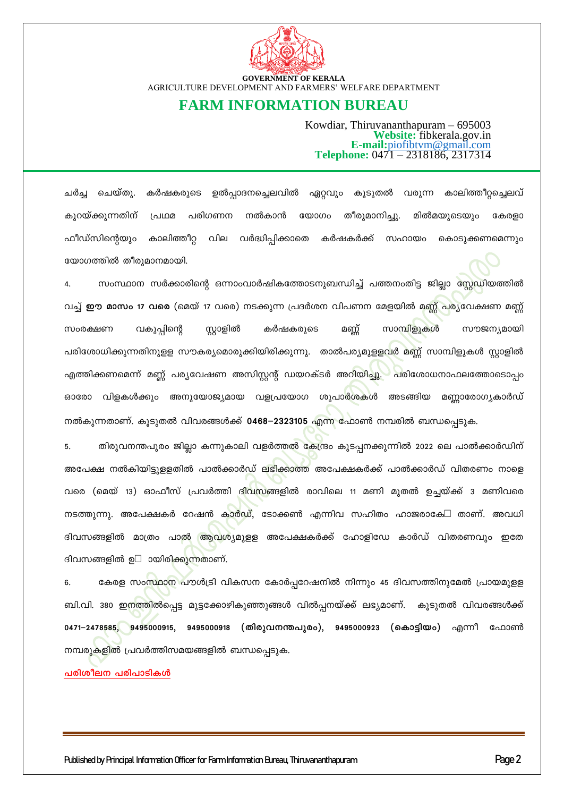

#### **FARM INFORMATION BUREAU**

Kowdiar, Thiruvananthapuram – 695003 Website: fibkerala.gov.in E-mail:piofibtym@gmail.com<br>Telephone:  $0471 - 2318186, 2317314$ 

ചർച്ച ചെയ്തു. കർഷകരുടെ ഉൽപ്പാദനച്ചെലവിൽ ഏറ്റവും കുടുതൽ വരുന്ന കാലിത്തീറ്റച്ചെലവ് കുറയ്ക്കുന്നതിന് പ്രഥമ പരിഗണന നൽകാൻ യോഗം തീരുമാനിച്ചു. മിൽമയുടെയും കേരളാ ഫീഡ്സിന്റെയും കാലിത്തീറ്റ വില വർദ്ധിപ്പിക്കാതെ കർഷകർക്ക് സഹായം കൊടുക്കണമെന്നും യോഗത്തിൽ തീരുമാനമായി.

സംസ്ഥാന സർക്കാരിന്റെ ഒന്നാംവാർഷികത്തോടനുബന്ധിച്ച് പത്തനംതിട്ട ജില്ലാ സ്റ്റേഡിയത്തിൽ വച്ച് **ഈ മാസം 17 വരെ** (മെയ് 17 വരെ) നടക്കുന്ന പ്രദർശന വിപണന മേളയിൽ മണ്ണ് പര്യവേക്ഷണ മണ്ണ് സംരക്ഷണ വകുപ്പിന്റെ സ്റ്റാളിൽ കർഷകരുടെ മണ്ണ് സാമ്പിളുകൾ സൗജന്യമായി പരിശോധിക്കുന്നതിനുളള സൗകര്യമൊരുക്കിയിരിക്കുന്നു. താൽപര്യമുളളവർ മണ്ണ് സാമ്പിളുകൾ സ്റ്റാളിൽ എത്തിക്കണമെന്ന് മണ്ണ് പര്യവേഷണ അസിസ്റ്റന്റ് ഡയറക്ടർ അറിയിച്ചു. പരിശോധനാഫലത്തോടൊപ്പം ഓരോ വിളകൾക്കും അനുയോജ്യമായ വളപ്രയോഗ ശുപാർശകൾ അടങ്ങിയ മണ്ണാരോഗ്യകാർഡ് നൽകുന്നതാണ്. കുടുതൽ വിവരങ്ങൾക്ക് 0468–2323105 എന്ന ഫോൺ നമ്പരിൽ ബന്ധപ്പെടുക.

തിരുവനന്തപുരം ജില്ലാ കന്നുകാലി വളർത്തൽ കേന്ദ്രം കുടപ്പനക്കുന്നിൽ 2022 ലെ പാൽക്കാർഡിന്  $5.$ അപേക്ഷ നൽകിയിട്ടുളളതിൽ പാൽക്കാർഡ് ലഭിക്കാത്ത അപേക്ഷകർക്ക് പാൽക്കാർഡ് വിതരണം നാളെ വരെ (മെയ് 13) ഓഫീസ് പ്രവർത്തി ദിവസങ്ങളിൽ രാവിലെ 11 മണി മുതൽ ഉച്ചയ്ക്ക് 3 മണിവരെ നടത്തുന്നു. അപേക്ഷകർ റേഷൻ കാർഡ്, ടോക്കൺ എന്നിവ സഹിതം ഹാജരാകേ- താണ്. അവധി ദിവസങ്ങളിൽ മാത്രം പാൽ ആവശ്യമുളള അപേക്ഷകർക്ക് ഹോളിഡേ കാർഡ് വിതരണവും ഇതേ ദിവസങ്ങളിൽ ഉ<del>-</del> ായിരിക്കുന്നതാണ്.

കേരള സം<mark>സ്ഥാന</mark> പൗൾട്രി വികസന കോർപ്പറേഷനിൽ നിന്നും 45 ദിവസത്തിനുമേൽ പ്രായമുളള 6. ബി.വി. 380 ഇനത്തിൽപ്പെട്ട മുട്ടക്കോഴികുഞ്ഞുങ്ങൾ വിൽപ്പനയ്ക്ക് ലഭ്യമാണ്. കൂടുതൽ വിവരങ്ങൾക്ക് 0471–2478585, 9495000915, 9495000918 (തിരുവനന്തപുരം), 9495000923 (കൊട്ടിയം) എന്നീ ഫോൺ നമ്പരുകളിൽ പ്രവർത്തിസമയങ്ങളിൽ ബന്ധപ്പെടുക.

പരിശീലന പരിപാടികൾ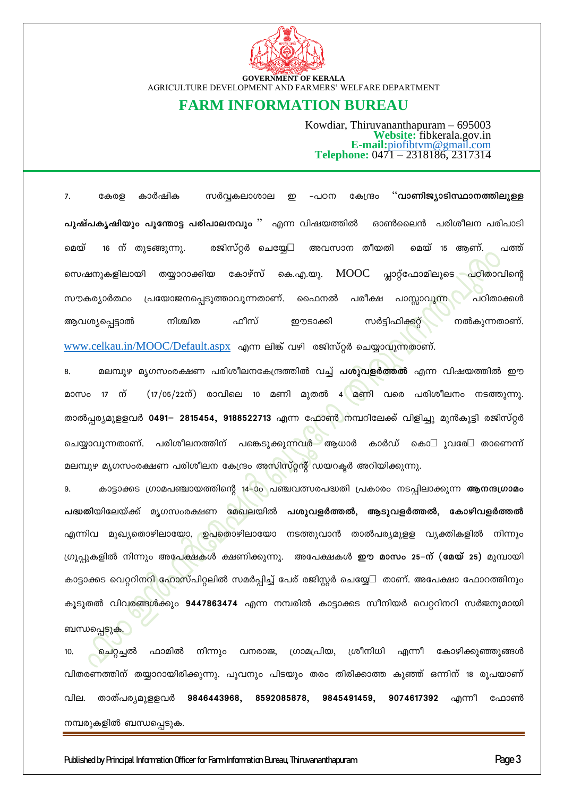

#### **FARM INFORMATION BUREAU**

Kowdiar, Thiruvananthapuram - 695003 Website: fibkerala.gov.in<br>Website: fibkerala.gov.in<br>E-mail:piofibtym@gmail.com<br>Telephone: 0471 – 2318186, 2317314

കേരള "വാണിജ്യാടിസ്ഥാനത്തിലുള്ള 7. കാർഷിക സർവ്വകലാശാല -പഠന കേന്ദ്രം ഇ പുഷ്പകൃഷിയും പൂന്തോട്ട പരിപാലനവും " എന്ന വിഷയത്തിൽ ഓൺലൈൻ പരിശീലന പരിപാടി അവസാന തീയതി 16 ന് തുടങ്ങുന്നു. രജിസ്റ്റർ ചെയ്യേ-മെയ് മെയ് 15 ആണ്. പത്ത് **MOOC** പ്ലാറ്റ്ഫോമിലൂടെ കോഴ്സ് സെഷനുകളിലായി തയ്യാറാക്കിയ കെ.എ.യു. പഠിതാവിന്റെ സൗകര്യാർത്ഥം പാസ്സാവു<mark>ന്</mark>ന പ്രയോജനപ്പെടുത്താവുന്നതാണ്. പരീക്ഷ പഠിതാക്കൾ ഫൈനൽ നിശ്ചിത ഫീസ് ആവശ്യപ്പെട്ടാൽ ഈടാക്കി സർട്ടിഫിക്കറ്റ് നൽകുന്നതാണ്.

www.celkau.in/MOOC/Default.aspx എന്ന ലിങ്ക് വഴി രജിസ്റ്റർ ചെയ്യാവുന്നതാണ്.

മലമ്പുഴ മൃഗസംരക്ഷണ പരിശീലനകേന്ദ്രത്തിൽ വച്ച് **പശുവളർത്തൽ** എന്ന വിഷയത്തിൽ ഈ 8. ന് (17/05/22ന്) രാവിലെ 10 മണി മുതൽ 4 മണി വരെ പരിശീലനം നടത്തുന്നു. മാസം  $17$ താൽപ്പര്യമുളളവർ 0491– 2815454, 9188522713 എന്ന ഫോൺ നമ്പറിലേക്ക് വിളിച്ചു മുൻകൂട്ടി രജിസ്റ്റർ ചെയ്യാവുന്നതാണ്. പരിശീലനത്തിന് പങ്കെടുക്കുന്നവർ ആധാർ കാർഡ് കൊ- ുവരേ<del>-</del> താണെന്ന് മലമ്പുഴ മൃഗസംരക്ഷണ പരിശീലന കേന്ദ്രം അസിസ്റ്റന്റ് ഡയറക്ടർ അറിയിക്കുന്നു.

കാട്ടാക്കട ഗ്രാമപഞ്ചായത്തിന്റെ 14–ാം പഞ്ചവത്സരപദ്ധതി പ്രകാരം നടപ്പിലാക്കുന്ന **ആനന്ദഗ്രാമം** 9. പദ്ധതിയിലേയ്ക്ക് മൃഗസംരക്ഷണ മേഖലയിൽ പശുവളർത്തൽ, ആടുവളർത്തൽ, കോഴിവളർത്തൽ എന്നിവ മുഖ്യതൊഴിലായോ, ഉപതൊഴിലായോ നടത്തുവാൻ താൽപര്യമുളള വ്യക്തികളിൽ നിന്നും ഗ്രൂപ്പുകളിൽ നിന്നും അപേക്ഷകൾ ക്ഷണിക്കുന്നു. അപേക്ഷകൾ **ഈ മാസം 25–ന് (മേയ് 25)** മുമ്പായി കാട്ടാക്കട വെറ്ററിന<mark>റി ഹോസ്</mark>പിറ്റലിൽ സമർപ്പിച്ച് പേര് രജിസ്റ്റർ ചെയ്യേ<del>-</del> താണ്. അപേക്ഷാ ഫോറത്തിനും കൂടുതൽ വിവരങ്ങൾക്കും 9447863474 എന്ന നമ്പരിൽ കാട്ടാക്കട സീനിയർ വെറ്ററിനറി സർജനുമായി

ചെറ്റച്ചൽ ഫാമിൽ നിന്നും വനരാജ, ഗ്രാമപ്രിയ, ശ്രീനിധി എന്നീ കോഴിക്കുഞ്ഞുങ്ങൾ  $10.$ വിതരണത്തിന് തയ്യാറായിരിക്കുന്നു. പൂവനും പിടയും തരം തിരിക്കാത്ത കുഞ്ഞ് ഒന്നിന് 18 രൂപയാണ് വില. താത്പര്യമുളളവർ 9846443968, 8592085878, 9845491459, 9074617392 എന്നീ ഫോൺ നമ്പരുകളിൽ ബന്ധപ്പെടുക.

ബന്ധപ്പെ<mark>ടുക</mark>.